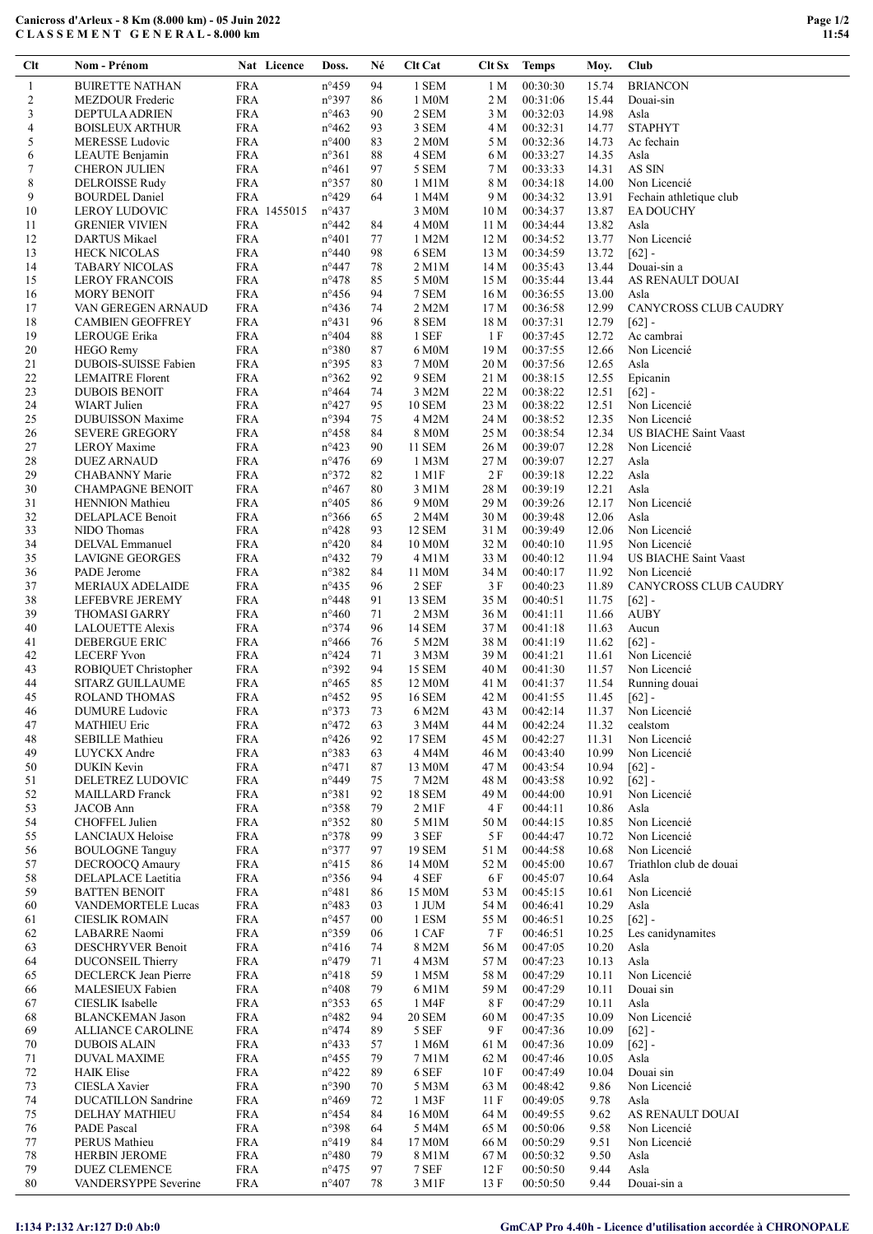## Canicross d'Arleux - 8 Km (8.000 km) - 05 Juin 2022 C L A S S E M E N T G E N E R A L - 8.000 km

| $Cl$             | Nom - Prénom                                         |                          | Nat Licence | Doss.                            | Né       | Clt Cat                     | Clt Sx          | <b>Temps</b>         | Moy.           | Club                         |
|------------------|------------------------------------------------------|--------------------------|-------------|----------------------------------|----------|-----------------------------|-----------------|----------------------|----------------|------------------------------|
| $\mathbf{1}$     | <b>BUIRETTE NATHAN</b>                               | <b>FRA</b>               |             | $n^{\circ}459$                   | 94       | 1 SEM                       | 1 M             | 00:30:30             | 15.74          | <b>BRIANCON</b>              |
| $\overline{c}$   | MEZDOUR Frederic                                     | <b>FRA</b>               |             | n°397                            | 86       | 1 M0M                       | 2 M             | 00:31:06             | 15.44          | Douai-sin                    |
| 3                | <b>DEPTULA ADRIEN</b>                                | <b>FRA</b>               |             | $n^{\circ}463$                   | 90       | 2 SEM                       | 3 M             | 00:32:03             | 14.98          | Asla                         |
| 4                | <b>BOISLEUX ARTHUR</b>                               | <b>FRA</b>               |             | $n^{\circ}462$                   | 93       | 3 SEM                       | 4 M             | 00:32:31             | 14.77          | <b>STAPHYT</b>               |
| 5<br>6           | <b>MERESSE Ludovic</b><br>LEAUTE Benjamin            | <b>FRA</b><br><b>FRA</b> |             | $n^{\circ}400$<br>$n^{\circ}361$ | 83<br>88 | 2 M <sub>0</sub> M<br>4 SEM | 5 M<br>6 M      | 00:32:36<br>00:33:27 | 14.73<br>14.35 | Ac fechain<br>Asla           |
| $\boldsymbol{7}$ | <b>CHERON JULIEN</b>                                 | <b>FRA</b>               |             | $n^{\circ}461$                   | 97       | 5 SEM                       | 7 M             | 00:33:33             | 14.31          | AS SIN                       |
| 8                | DELROISSE Rudy                                       | <b>FRA</b>               |             | $n^{\circ}357$                   | 80       | 1 M1M                       | 8 M             | 00:34:18             | 14.00          | Non Licencié                 |
| 9                | <b>BOURDEL Daniel</b>                                | <b>FRA</b>               |             | n°429                            | 64       | 1 M4M                       | 9 M             | 00:34:32             | 13.91          | Fechain athletique club      |
| 10               | <b>LEROY LUDOVIC</b>                                 |                          | FRA 1455015 | $n^{\circ}437$                   |          | 3 M <sub>0</sub> M          | 10 <sub>M</sub> | 00:34:37             | 13.87          | <b>EA DOUCHY</b>             |
| 11               | <b>GRENIER VIVIEN</b>                                | <b>FRA</b>               |             | $n^{\circ}442$                   | 84       | 4 M0M                       | 11 M            | 00:34:44             | 13.82          | Asla                         |
| 12               | <b>DARTUS Mikael</b>                                 | <b>FRA</b>               |             | $n^{\circ}401$                   | 77       | 1 M2M                       | 12 M            | 00:34:52             | 13.77          | Non Licencié                 |
| 13<br>14         | <b>HECK NICOLAS</b><br><b>TABARY NICOLAS</b>         | <b>FRA</b><br><b>FRA</b> |             | $n^{\circ}440$<br>$n^{\circ}447$ | 98<br>78 | 6 SEM<br>2 M1M              | 13 M<br>14M     | 00:34:59<br>00:35:43 | 13.72<br>13.44 | $[62]$ -<br>Douai-sin a      |
| 15               | <b>LEROY FRANCOIS</b>                                | <b>FRA</b>               |             | $n^{\circ}478$                   | 85       | 5 M0M                       | 15 M            | 00:35:44             | 13.44          | AS RENAULT DOUAI             |
| 16               | <b>MORY BENOIT</b>                                   | <b>FRA</b>               |             | $n^{\circ}456$                   | 94       | 7 SEM                       | 16 M            | 00:36:55             | 13.00          | Asla                         |
| 17               | VAN GEREGEN ARNAUD                                   | <b>FRA</b>               |             | $n^{\circ}436$                   | 74       | 2 M2M                       | 17 <sub>M</sub> | 00:36:58             | 12.99          | <b>CANYCROSS CLUB CAUDRY</b> |
| 18               | <b>CAMBIEN GEOFFREY</b>                              | <b>FRA</b>               |             | $n^{\circ}431$                   | 96       | 8 SEM                       | 18 M            | 00:37:31             | 12.79          | $[62]$ -                     |
| 19               | LEROUGE Erika                                        | <b>FRA</b>               |             | $n^{\circ}404$                   | 88       | 1 SEF                       | 1 F             | 00:37:45             | 12.72          | Ac cambrai                   |
| 20               | <b>HEGO Remy</b>                                     | <b>FRA</b>               |             | $n^{\circ}380$                   | 87       | 6 M <sub>0</sub> M          | 19 M            | 00:37:55             | 12.66          | Non Licencié                 |
| 21<br>22         | DUBOIS-SUISSE Fabien                                 | <b>FRA</b><br><b>FRA</b> |             | $n^{\circ}395$                   | 83<br>92 | 7 M0M                       | 20 M            | 00:37:56             | 12.65          | Asla                         |
| 23               | <b>LEMAITRE</b> Florent<br><b>DUBOIS BENOIT</b>      | <b>FRA</b>               |             | $n^{\circ}362$<br>$n^{\circ}464$ | 74       | 9 SEM<br>3 M2M              | 21 M<br>22 M    | 00:38:15<br>00:38:22 | 12.55<br>12.51 | Epicanin<br>$[62] -$         |
| 24               | <b>WIART</b> Julien                                  | <b>FRA</b>               |             | $n^{\circ}427$                   | 95       | <b>10 SEM</b>               | 23 M            | 00:38:22             | 12.51          | Non Licencié                 |
| 25               | <b>DUBUISSON Maxime</b>                              | <b>FRA</b>               |             | n°394                            | 75       | 4 M2M                       | 24 M            | 00:38:52             | 12.35          | Non Licencié                 |
| 26               | <b>SEVERE GREGORY</b>                                | <b>FRA</b>               |             | $n^{\circ}458$                   | 84       | 8 M0M                       | 25 M            | 00:38:54             | 12.34          | <b>US BIACHE Saint Vaast</b> |
| 27               | <b>LEROY</b> Maxime                                  | <b>FRA</b>               |             | $n^{\circ}423$                   | 90       | <b>11 SEM</b>               | 26 M            | 00:39:07             | 12.28          | Non Licencié                 |
| $28\,$           | <b>DUEZ ARNAUD</b>                                   | <b>FRA</b>               |             | $n^{\circ}476$                   | 69       | 1 M3M                       | 27 M            | 00:39:07             | 12.27          | Asla                         |
| 29               | CHABANNY Marie                                       | <b>FRA</b>               |             | $n^{\circ}372$                   | 82       | 1 M1F                       | 2F              | 00:39:18             | 12.22          | Asla                         |
| 30               | <b>CHAMPAGNE BENOIT</b>                              | <b>FRA</b>               |             | $n^{\circ}467$                   | 80       | 3 M1M                       | 28 M            | 00:39:19             | 12.21          | Asla                         |
| 31<br>32         | <b>HENNION</b> Mathieu<br>DELAPLACE Benoit           | <b>FRA</b><br><b>FRA</b> |             | $n^{\circ}405$<br>$n^{\circ}366$ | 86<br>65 | 9 M0M<br>2 M4M              | 29 M<br>30 M    | 00:39:26<br>00:39:48 | 12.17<br>12.06 | Non Licencié<br>Asla         |
| 33               | NIDO Thomas                                          | <b>FRA</b>               |             | $n^{\circ}428$                   | 93       | 12 SEM                      | 31 M            | 00:39:49             | 12.06          | Non Licencié                 |
| 34               | DELVAL Emmanuel                                      | <b>FRA</b>               |             | $n^{\circ}420$                   | 84       | 10 M0M                      | 32 M            | 00:40:10             | 11.95          | Non Licencié                 |
| 35               | <b>LAVIGNE GEORGES</b>                               | <b>FRA</b>               |             | $n^{\circ}432$                   | 79       | 4 M1M                       | 33 M            | 00:40:12             | 11.94          | <b>US BIACHE Saint Vaast</b> |
| 36               | PADE Jerome                                          | <b>FRA</b>               |             | n°382                            | 84       | 11 M0M                      | 34 M            | 00:40:17             | 11.92          | Non Licencié                 |
| 37               | <b>MERIAUX ADELAIDE</b>                              | <b>FRA</b>               |             | $n^{\circ}435$                   | 96       | 2 SEF                       | 3F              | 00:40:23             | 11.89          | CANYCROSS CLUB CAUDRY        |
| 38               | LEFEBVRE JEREMY                                      | <b>FRA</b>               |             | $n^{\circ}448$                   | 91       | 13 SEM                      | 35 M            | 00:40:51             | 11.75          | $[62] -$                     |
| 39<br>40         | <b>THOMASI GARRY</b><br>LALOUETTE Alexis             | <b>FRA</b><br><b>FRA</b> |             | $n^{\circ}460$<br>n°374          | 71<br>96 | $2$ M $3$ M<br>14 SEM       | 36 M<br>37 M    | 00:41:11<br>00:41:18 | 11.66<br>11.63 | <b>AUBY</b><br>Aucun         |
| 41               | DEBERGUE ERIC                                        | <b>FRA</b>               |             | $n^{\circ}466$                   | 76       | 5 M2M                       | 38 M            | 00:41:19             | 11.62          | $[62] -$                     |
| 42               | <b>LECERF Yvon</b>                                   | <b>FRA</b>               |             | $n^{\circ}424$                   | 71       | 3 M3M                       | 39 M            | 00:41:21             | 11.61          | Non Licencié                 |
| 43               | ROBIQUET Christopher                                 | <b>FRA</b>               |             | n°392                            | 94       | 15 SEM                      | 40 M            | 00:41:30             | 11.57          | Non Licencié                 |
| 44               | <b>SITARZ GUILLAUME</b>                              | <b>FRA</b>               |             | $n^{\circ}465$                   | 85       | 12 M0M                      | 41 M            | 00:41:37             | 11.54          | Running douai                |
| 45               | ROLAND THOMAS                                        | <b>FRA</b>               |             | $n^{\circ}452$                   | 95       | 16 SEM                      | 42 M            | 00:41:55             | 11.45          | $[62] -$                     |
| 46               | DUMURE Ludovic                                       | <b>FRA</b>               |             | $n^{\circ}373$                   | 73       | 6 M2M                       | 43 M            | 00:42:14             |                | 11.37 Non Licencié           |
| 47<br>48         | <b>MATHIEU Eric</b><br><b>SEBILLE Mathieu</b>        | <b>FRA</b><br><b>FRA</b> |             | $n^{\circ}472$<br>$n^{\circ}426$ | 63<br>92 | 3 M4M<br>17 SEM             | 44 M<br>45 M    | 00:42:24<br>00:42:27 | 11.32<br>11.31 | cealstom<br>Non Licencié     |
| 49               | LUYCKX Andre                                         | <b>FRA</b>               |             | n°383                            | 63       | 4 M4M                       | 46 M            | 00:43:40             | 10.99          | Non Licencié                 |
| 50               | DUKIN Kevin                                          | <b>FRA</b>               |             | $n^{\circ}471$                   | 87       | 13 M0M                      | 47 M            | 00:43:54             | 10.94          | $[62] -$                     |
| 51               | DELETREZ LUDOVIC                                     | <b>FRA</b>               |             | n°449                            | 75       | 7 M2M                       | 48 M            | 00:43:58             | 10.92          | $[62] -$                     |
| 52               | <b>MAILLARD</b> Franck                               | <b>FRA</b>               |             | n°381                            | 92       | <b>18 SEM</b>               | 49 M            | 00:44:00             | 10.91          | Non Licencié                 |
| 53               | JACOB Ann                                            | <b>FRA</b>               |             | $n^{\circ}358$                   | 79       | $2$ M <sub>1</sub> F        | 4 F             | 00:44:11             | 10.86          | Asla                         |
| 54               | CHOFFEL Julien                                       | <b>FRA</b>               |             | $n^{\circ}352$                   | 80       | 5 M1M                       | 50 M            | 00:44:15             | 10.85          | Non Licencié                 |
| 55               | <b>LANCIAUX Heloise</b><br><b>BOULOGNE Tanguy</b>    | <b>FRA</b><br><b>FRA</b> |             | n°378<br>n°377                   | 99<br>97 | 3 SEF<br>19 SEM             | 5 F             | 00:44:47             | 10.72          | Non Licencié<br>Non Licencié |
| 56<br>57         | DECROOCQ Amaury                                      | <b>FRA</b>               |             | $n^{\circ}415$                   | 86       | 14 M0M                      | 51 M<br>52 M    | 00:44:58<br>00:45:00 | 10.68<br>10.67 | Triathlon club de douai      |
| 58               | <b>DELAPLACE</b> Laetitia                            | <b>FRA</b>               |             | n°356                            | 94       | 4 SEF                       | 6 F             | 00:45:07             | 10.64          | Asla                         |
| 59               | <b>BATTEN BENOIT</b>                                 | <b>FRA</b>               |             | $n^{\circ}481$                   | 86       | 15 M0M                      | 53 M            | 00:45:15             | 10.61          | Non Licencié                 |
| 60               | VANDEMORTELE Lucas                                   | <b>FRA</b>               |             | $n^{\circ}483$                   | 03       | 1 JUM                       | 54 M            | 00:46:41             | 10.29          | Asla                         |
| 61               | <b>CIESLIK ROMAIN</b>                                | <b>FRA</b>               |             | $n^{\circ}457$                   | $00\,$   | 1 ESM                       | 55 M            | 00:46:51             | 10.25          | $[62] -$                     |
| 62               | LABARRE Naomi                                        | <b>FRA</b>               |             | n°359                            | 06       | 1 CAF                       | 7 F             | 00:46:51             | 10.25          | Les canidynamites            |
| 63               | <b>DESCHRYVER Benoit</b><br><b>DUCONSEIL Thierry</b> | <b>FRA</b><br><b>FRA</b> |             | $n^{\circ}416$                   | 74       | 8 M2M<br>4 M3M              | 56 M            | 00:47:05             | 10.20          | Asla                         |
| 64<br>65         | DECLERCK Jean Pierre                                 | <b>FRA</b>               |             | $n^{\circ}479$<br>$n^{\circ}418$ | 71<br>59 | 1 M5M                       | 57 M<br>58 M    | 00:47:23<br>00:47:29 | 10.13<br>10.11 | Asla<br>Non Licencié         |
| 66               | MALESIEUX Fabien                                     | <b>FRA</b>               |             | $n^{\circ}408$                   | 79       | 6 M1M                       | 59 M            | 00:47:29             | 10.11          | Douai sin                    |
| 67               | CIESLIK Isabelle                                     | <b>FRA</b>               |             | n°353                            | 65       | 1 M4F                       | <b>8F</b>       | 00:47:29             | 10.11          | Asla                         |
| 68               | <b>BLANCKEMAN Jason</b>                              | <b>FRA</b>               |             | $n^{\circ}482$                   | 94       | <b>20 SEM</b>               | 60 M            | 00:47:35             | 10.09          | Non Licencié                 |
| 69               | <b>ALLIANCE CAROLINE</b>                             | <b>FRA</b>               |             | $n^{\circ}474$                   | 89       | 5 SEF                       | 9 F             | 00:47:36             | 10.09          | $[62] -$                     |
| 70               | <b>DUBOIS ALAIN</b>                                  | <b>FRA</b>               |             | $n^{\circ}433$                   | 57       | 1 M6M                       | 61 M            | 00:47:36             | 10.09          | $[62] -$                     |
| 71               | <b>DUVAL MAXIME</b>                                  | <b>FRA</b>               |             | $n^{\circ}455$                   | 79       | 7 M1M                       | 62 M            | 00:47:46             | 10.05          | Asla                         |
| 72<br>73         | <b>HAIK Elise</b><br>CIESLA Xavier                   | <b>FRA</b><br><b>FRA</b> |             | $n^{\circ}422$<br>n°390          | 89<br>70 | 6 SEF<br>5 M3M              | 10 F<br>63 M    | 00:47:49<br>00:48:42 | 10.04<br>9.86  | Douai sin<br>Non Licencié    |
| 74               | <b>DUCATILLON</b> Sandrine                           | <b>FRA</b>               |             | $n^{\circ}469$                   | 72       | 1 M3F                       | 11F             | 00:49:05             | 9.78           | Asla                         |
| 75               | DELHAY MATHIEU                                       | <b>FRA</b>               |             | $n^{\circ}454$                   | 84       | 16 M0M                      | 64 M            | 00:49:55             | 9.62           | AS RENAULT DOUAI             |
| 76               | PADE Pascal                                          | <b>FRA</b>               |             | n°398                            | 64       | 5 M4M                       | 65 M            | 00:50:06             | 9.58           | Non Licencié                 |
| 77               | PERUS Mathieu                                        | <b>FRA</b>               |             | n°419                            | 84       | 17 M0M                      | 66 M            | 00:50:29             | 9.51           | Non Licencié                 |
| 78               | <b>HERBIN JEROME</b>                                 | <b>FRA</b>               |             | $n^{\circ}480$                   | 79       | 8 M1M                       | 67 M            | 00:50:32             | 9.50           | Asla                         |
| 79               | <b>DUEZ CLEMENCE</b>                                 | <b>FRA</b>               |             | $n^{\circ}475$                   | 97       | 7 SEF                       | 12 F            | 00:50:50             | 9.44           | Asla                         |
| 80               | VANDERSYPPE Severine                                 | ${\rm FRA}$              |             | $n^{\circ}407$                   | 78       | 3 M1F                       | 13 F            | 00:50:50             | 9.44           | Douai-sin a                  |